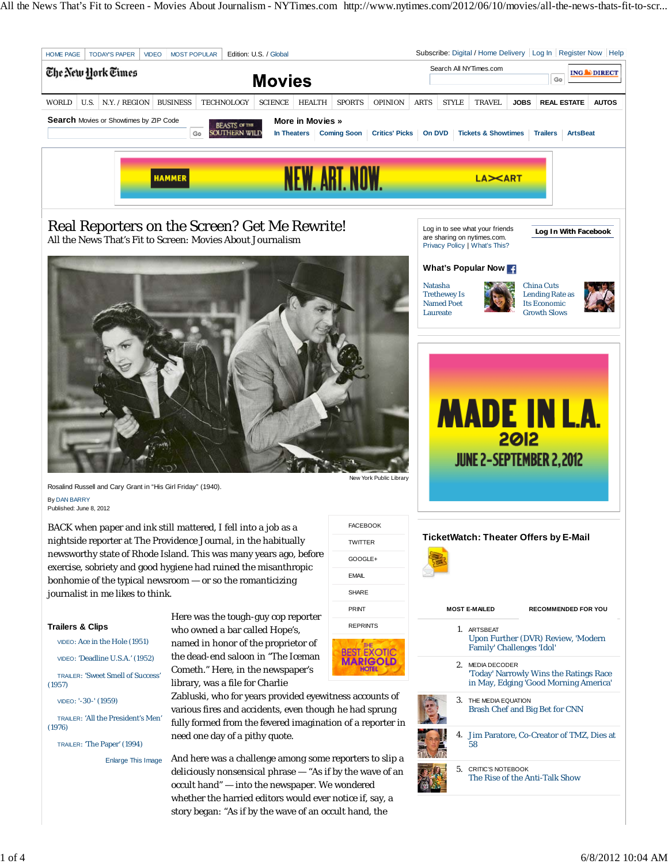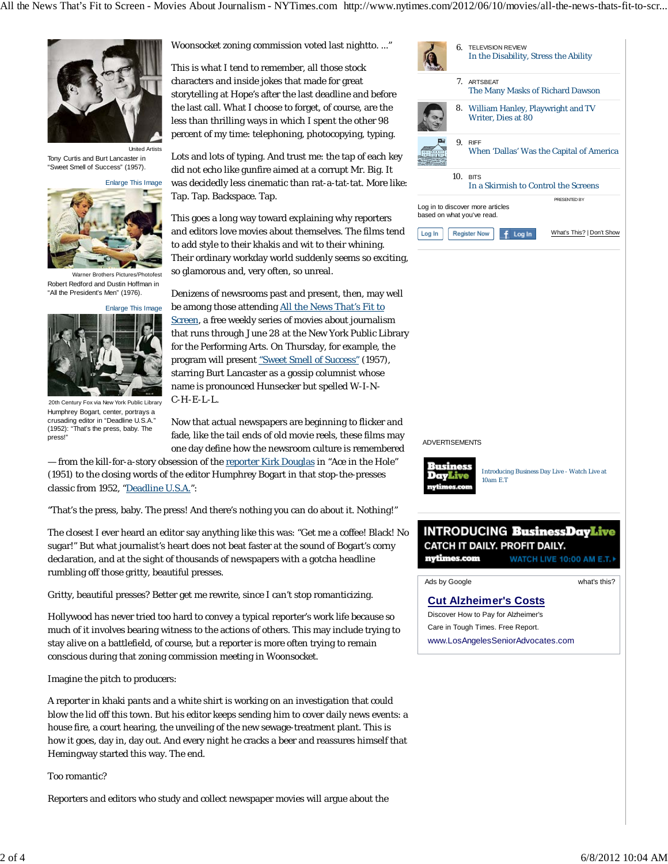All the News That's Fit to Screen - Movies About Journalism - NYTimes.com http://www.nytimes.com/2012/06/10/movies/all-the-news-thats-fit-to-scr...



Tony Curtis and Burt Lancaster in "Sweet Smell of Success" (1957).



Warner Brothers Pictures/Photofest Robert Redford and Dustin Hoffman in "All the President's Men" (1976).



20th Century Fox via New York Public Library Humphrey Bogart, center, portrays a crusading editor in "Deadline U.S.A." (1952): "That's the press, baby. The press!

Woonsocket zoning commission voted last nightto. ..."

This is what I tend to remember, all those stock characters and inside jokes that made for great storytelling at Hope's after the last deadline and before the last call. What I choose to forget, of course, are the less than thrilling ways in which I spent the other 98 percent of my time: telephoning, photocopying, typing.

Lots and lots of typing. And trust me: the tap of each key did not echo like gunfire aimed at a corrupt Mr. Big. It was decidedly less cinematic than rat-a-tat-tat. More like: Tap. Tap. Backspace. Tap.

This goes a long way toward explaining why reporters and editors love movies about themselves. The films tend to add style to their khakis and wit to their whining. Their ordinary workday world suddenly seems so exciting, so glamorous and, very often, so unreal.

Denizens of newsrooms past and present, then, may well be among those attending All the News That's Fit to Screen, a free weekly series of movies about journalism that runs through June 28 at the New York Public Library for the Performing Arts. On Thursday, for example, the program will present "Sweet Smell of Success" (1957), starring Burt Lancaster as a gossip columnist whose name is pronounced Hunsecker but spelled W-I-N-C-H-E-L-L.

Now that actual newspapers are beginning to flicker and fade, like the tail ends of old movie reels, these films may one day define how the newsroom culture is remembered

— from the kill-for-a-story obsession of the reporter Kirk Douglas in "Ace in the Hole" (1951) to the closing words of the editor Humphrey Bogart in that stop-the-presses classic from 1952, "Deadline U.S.A.":

"That's the press, baby. The press! And there's nothing you can do about it. Nothing!"

The closest I ever heard an editor say anything like this was: "Get me a coffee! Black! No sugar!" But what journalist's heart does not beat faster at the sound of Bogart's corny declaration, and at the sight of thousands of newspapers with a gotcha headline rumbling off those gritty, beautiful presses.

Gritty, beautiful presses? Better get me rewrite, since I can't stop romanticizing.

Hollywood has never tried too hard to convey a typical reporter's work life because so much of it involves bearing witness to the actions of others. This may include trying to stay alive on a battlefield, of course, but a reporter is more often trying to remain conscious during that zoning commission meeting in Woonsocket.

Imagine the pitch to producers:

A reporter in khaki pants and a white shirt is working on an investigation that could blow the lid off this town. But his editor keeps sending him to cover daily news events: a house fire, a court hearing, the unveiling of the new sewage-treatment plant. This is how it goes, day in, day out. And every night he cracks a beer and reassures himself that Hemingway started this way. The end.

Too romantic?

Reporters and editors who study and collect newspaper movies will argue about the

|        |                                      | 6. TELEVISION REVIEW<br>In the Disability, Stress the Ability     |  |  |  |  |  |
|--------|--------------------------------------|-------------------------------------------------------------------|--|--|--|--|--|
|        |                                      | 7. ARTSBEAT<br>The Many Masks of Richard Dawson                   |  |  |  |  |  |
|        |                                      | 8. William Hanley, Playwright and TV<br><b>Writer, Dies at 80</b> |  |  |  |  |  |
|        | 9.                                   | <b>RIFF</b><br>When 'Dallas' Was the Capital of America           |  |  |  |  |  |
|        | 10 <sup>1</sup>                      | <b>BITS</b>                                                       |  |  |  |  |  |
|        | In a Skirmish to Control the Screens |                                                                   |  |  |  |  |  |
|        |                                      | PRESENTED BY                                                      |  |  |  |  |  |
|        |                                      | Log in to discover more articles<br>based on what you've read.    |  |  |  |  |  |
| Log In |                                      | What's This?   Don't Show<br><b>Register Now</b><br>Log In        |  |  |  |  |  |

ADVERTISEMENTS



Introducing Business Day Live - Watch Live at 10am E.T

## **INTRODUCING BusinessDayLive** CATCH IT DAILY. PROFIT DAILY. nytimes.com WATCH LIVE 10:00 AM E.T.

Ads by Google **by Coogle what's this?** 

**Cut Alzheimer's Costs** Discover How to Pay for Alzheimer's Care in Tough Times. Free Report. www.LosAngelesSeniorAdvocates.com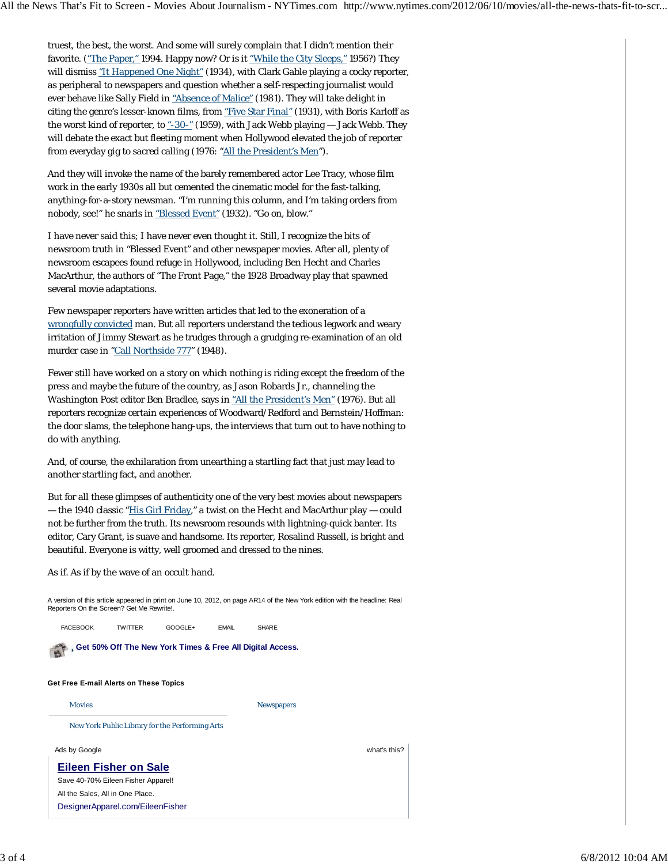truest, the best, the worst. And some will surely complain that I didn't mention their favorite. ("The Paper," 1994. Happy now? Or is it "While the City Sleeps," 1956?) They will dismiss "It Happened One Night" (1934), with Clark Gable playing a cocky reporter, as peripheral to newspapers and question whether a self-respecting journalist would ever behave like Sally Field in "Absence of Malice" (1981). They will take delight in citing the genre's lesser-known films, from "Five Star Final" (1931), with Boris Karloff as the worst kind of reporter, to  $-30-$ " (1959), with Jack Webb playing  $-$  Jack Webb. They will debate the exact but fleeting moment when Hollywood elevated the job of reporter from everyday gig to sacred calling (1976: "All the President's Men").

And they will invoke the name of the barely remembered actor Lee Tracy, whose film work in the early 1930s all but cemented the cinematic model for the fast-talking, anything-for-a-story newsman. "I'm running this column, and I'm taking orders from nobody, see!" he snarls in "Blessed Event" (1932). "Go on, blow."

I have never said this; I have never even thought it. Still, I recognize the bits of newsroom truth in "Blessed Event" and other newspaper movies. After all, plenty of newsroom escapees found refuge in Hollywood, including Ben Hecht and Charles MacArthur, the authors of "The Front Page," the 1928 Broadway play that spawned several movie adaptations.

Few newspaper reporters have written articles that led to the exoneration of a wrongfully convicted man. But all reporters understand the tedious legwork and weary irritation of Jimmy Stewart as he trudges through a grudging re-examination of an old murder case in "Call Northside 777" (1948).

Fewer still have worked on a story on which nothing is riding except the freedom of the press and maybe the future of the country, as Jason Robards Jr., channeling the Washington Post editor Ben Bradlee, says in "All the President's Men" (1976). But all reporters recognize certain experiences of Woodward/Redford and Bernstein/Hoffman: the door slams, the telephone hang-ups, the interviews that turn out to have nothing to do with anything.

And, of course, the exhilaration from unearthing a startling fact that just may lead to another startling fact, and another.

But for all these glimpses of authenticity one of the very best movies about newspapers — the 1940 classic "His Girl Friday," a twist on the Hecht and MacArthur play — could not be further from the truth. Its newsroom resounds with lightning-quick banter. Its editor, Cary Grant, is suave and handsome. Its reporter, Rosalind Russell, is bright and beautiful. Everyone is witty, well groomed and dressed to the nines.

As if. As if by the wave of an occult hand.

A version of this article appeared in print on June 10, 2012, on page AR14 of the New York edition with the headline: Real Reporters On the Screen? Get Me Rewrite!.

| <b>FACEBOOK</b> | <b>TWITTER</b>                                            | GOOGLE+ | <b>EMAIL</b> | <b>SHARE</b>      |              |
|-----------------|-----------------------------------------------------------|---------|--------------|-------------------|--------------|
|                 | Get 50% Off The New York Times & Free All Digital Access. |         |              |                   |              |
|                 | Get Free E-mail Alerts on These Topics                    |         |              |                   |              |
| <b>Movies</b>   |                                                           |         |              | <b>Newspapers</b> |              |
|                 | New York Public Library for the Performing Arts           |         |              |                   |              |
| Ads by Google   |                                                           |         |              |                   | what's this? |
|                 | Eileen Fisher on Sale                                     |         |              |                   |              |
|                 | Save 40-70% Eileen Fisher Apparel!                        |         |              |                   |              |
|                 | All the Sales, All in One Place.                          |         |              |                   |              |
|                 | DesignerApparel.com/EileenFisher                          |         |              |                   |              |